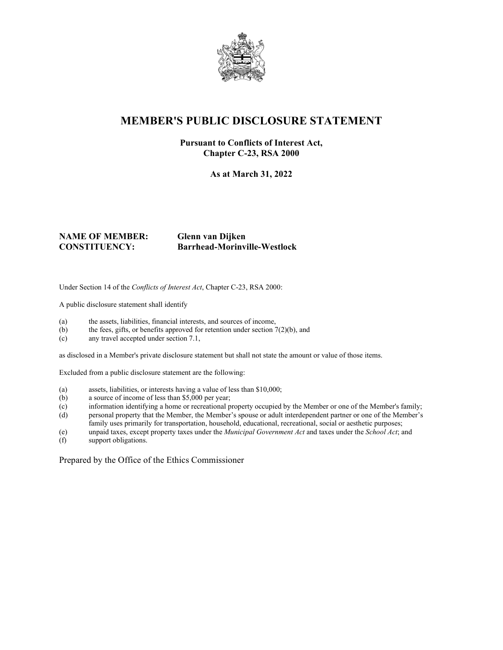

## **MEMBER'S PUBLIC DISCLOSURE STATEMENT**

### **Pursuant to Conflicts of Interest Act, Chapter C-23, RSA 2000**

**As at March 31, 2022**

#### **NAME OF MEMBER: Glenn van Dijken CONSTITUENCY: Barrhead-Morinville-Westlock**

Under Section 14 of the *Conflicts of Interest Act*, Chapter C-23, RSA 2000:

A public disclosure statement shall identify

- (a) the assets, liabilities, financial interests, and sources of income,
- (b) the fees, gifts, or benefits approved for retention under section  $7(2)(b)$ , and
- (c) any travel accepted under section 7.1,

as disclosed in a Member's private disclosure statement but shall not state the amount or value of those items.

Excluded from a public disclosure statement are the following:

- (a) assets, liabilities, or interests having a value of less than \$10,000;
- (b) a source of income of less than \$5,000 per year;
- (c) information identifying a home or recreational property occupied by the Member or one of the Member's family;
- (d) personal property that the Member, the Member's spouse or adult interdependent partner or one of the Member's family uses primarily for transportation, household, educational, recreational, social or aesthetic purposes;
- (e) unpaid taxes, except property taxes under the *Municipal Government Act* and taxes under the *School Act*; and
- support obligations.

Prepared by the Office of the Ethics Commissioner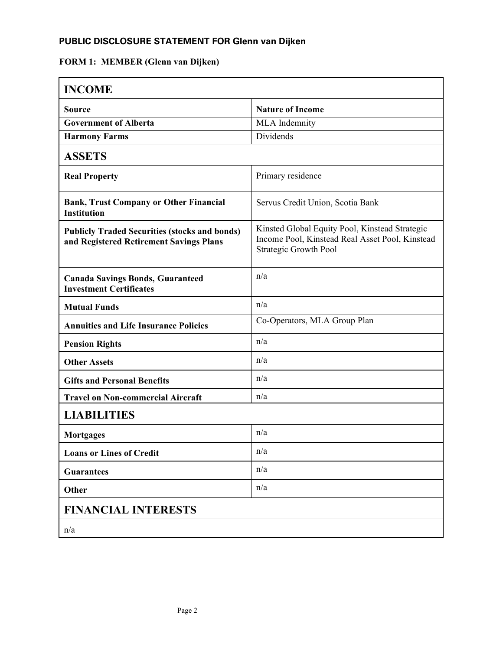## **PUBLIC DISCLOSURE STATEMENT FOR Glenn van Dijken**

# **FORM 1: MEMBER (Glenn van Dijken)**

| <b>INCOME</b>                                                                                   |                                                                                                                                   |  |
|-------------------------------------------------------------------------------------------------|-----------------------------------------------------------------------------------------------------------------------------------|--|
| <b>Source</b>                                                                                   | <b>Nature of Income</b>                                                                                                           |  |
| <b>Government of Alberta</b>                                                                    | MLA Indemnity                                                                                                                     |  |
| <b>Harmony Farms</b>                                                                            | Dividends                                                                                                                         |  |
| <b>ASSETS</b>                                                                                   |                                                                                                                                   |  |
| <b>Real Property</b>                                                                            | Primary residence                                                                                                                 |  |
| <b>Bank, Trust Company or Other Financial</b><br><b>Institution</b>                             | Servus Credit Union, Scotia Bank                                                                                                  |  |
| <b>Publicly Traded Securities (stocks and bonds)</b><br>and Registered Retirement Savings Plans | Kinsted Global Equity Pool, Kinstead Strategic<br>Income Pool, Kinstead Real Asset Pool, Kinstead<br><b>Strategic Growth Pool</b> |  |
| <b>Canada Savings Bonds, Guaranteed</b><br><b>Investment Certificates</b>                       | n/a                                                                                                                               |  |
| <b>Mutual Funds</b>                                                                             | n/a                                                                                                                               |  |
| <b>Annuities and Life Insurance Policies</b>                                                    | Co-Operators, MLA Group Plan                                                                                                      |  |
| <b>Pension Rights</b>                                                                           | n/a                                                                                                                               |  |
| <b>Other Assets</b>                                                                             | n/a                                                                                                                               |  |
| <b>Gifts and Personal Benefits</b>                                                              | n/a                                                                                                                               |  |
| <b>Travel on Non-commercial Aircraft</b>                                                        | n/a                                                                                                                               |  |
| <b>LIABILITIES</b>                                                                              |                                                                                                                                   |  |
| <b>Mortgages</b>                                                                                | n/a                                                                                                                               |  |
| <b>Loans or Lines of Credit</b>                                                                 | n/a                                                                                                                               |  |
| <b>Guarantees</b>                                                                               | n/a                                                                                                                               |  |
| Other                                                                                           | n/a                                                                                                                               |  |
| <b>FINANCIAL INTERESTS</b>                                                                      |                                                                                                                                   |  |
| n/a                                                                                             |                                                                                                                                   |  |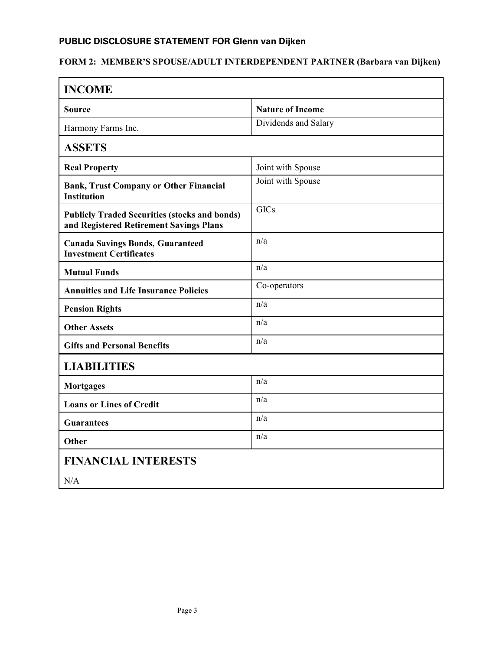### **PUBLIC DISCLOSURE STATEMENT FOR Glenn van Dijken**

# **FORM 2: MEMBER'S SPOUSE/ADULT INTERDEPENDENT PARTNER (Barbara van Dijken)**

| <b>INCOME</b>                                                                                   |                         |  |
|-------------------------------------------------------------------------------------------------|-------------------------|--|
| Source                                                                                          | <b>Nature of Income</b> |  |
| Harmony Farms Inc.                                                                              | Dividends and Salary    |  |
| <b>ASSETS</b>                                                                                   |                         |  |
| <b>Real Property</b>                                                                            | Joint with Spouse       |  |
| <b>Bank, Trust Company or Other Financial</b><br><b>Institution</b>                             | Joint with Spouse       |  |
| <b>Publicly Traded Securities (stocks and bonds)</b><br>and Registered Retirement Savings Plans | <b>GICs</b>             |  |
| <b>Canada Savings Bonds, Guaranteed</b><br><b>Investment Certificates</b>                       | n/a                     |  |
| <b>Mutual Funds</b>                                                                             | n/a                     |  |
| <b>Annuities and Life Insurance Policies</b>                                                    | Co-operators            |  |
| <b>Pension Rights</b>                                                                           | n/a                     |  |
| <b>Other Assets</b>                                                                             | n/a                     |  |
| <b>Gifts and Personal Benefits</b>                                                              | n/a                     |  |
| <b>LIABILITIES</b>                                                                              |                         |  |
| <b>Mortgages</b>                                                                                | n/a                     |  |
| <b>Loans or Lines of Credit</b>                                                                 | n/a                     |  |
| <b>Guarantees</b>                                                                               | n/a                     |  |
| Other                                                                                           | n/a                     |  |
| <b>FINANCIAL INTERESTS</b>                                                                      |                         |  |
| N/A                                                                                             |                         |  |